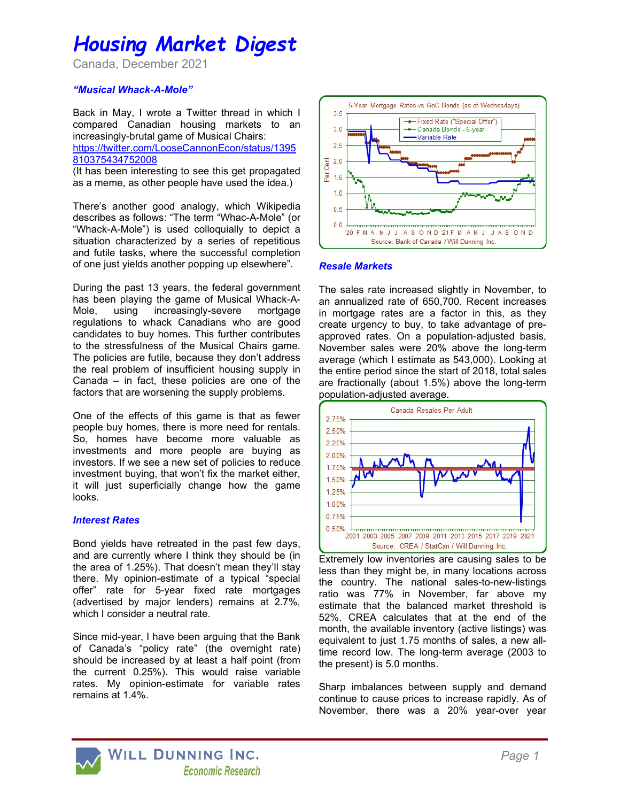# Housing Market Digest

Canada, December 2021

#### "Musical Whack-A-Mole"

Back in May, I wrote a Twitter thread in which I compared Canadian housing markets to an increasingly-brutal game of Musical Chairs: https://twitter.com/LooseCannonEcon/status/1395 810375434752008

(It has been interesting to see this get propagated as a meme, as other people have used the idea.)

There's another good analogy, which Wikipedia describes as follows: "The term "Whac-A-Mole" (or "Whack-A-Mole") is used colloquially to depict a situation characterized by a series of repetitious and futile tasks, where the successful completion of one just yields another popping up elsewhere".

During the past 13 years, the federal government has been playing the game of Musical Whack-A-Mole, using increasingly-severe mortgage regulations to whack Canadians who are good candidates to buy homes. This further contributes to the stressfulness of the Musical Chairs game. The policies are futile, because they don't address the real problem of insufficient housing supply in Canada – in fact, these policies are one of the factors that are worsening the supply problems.

One of the effects of this game is that as fewer people buy homes, there is more need for rentals. So, homes have become more valuable as investments and more people are buying as investors. If we see a new set of policies to reduce investment buying, that won't fix the market either, it will just superficially change how the game looks.

#### Interest Rates

Bond yields have retreated in the past few days, and are currently where I think they should be (in the area of 1.25%). That doesn't mean they'll stay there. My opinion-estimate of a typical "special offer" rate for 5-year fixed rate mortgages (advertised by major lenders) remains at 2.7%, which I consider a neutral rate.

Since mid-year, I have been arguing that the Bank of Canada's "policy rate" (the overnight rate) should be increased by at least a half point (from the current 0.25%). This would raise variable rates. My opinion-estimate for variable rates remains at 1.4%.



#### Resale Markets

The sales rate increased slightly in November, to an annualized rate of 650,700. Recent increases in mortgage rates are a factor in this, as they create urgency to buy, to take advantage of preapproved rates. On a population-adjusted basis, November sales were 20% above the long-term average (which I estimate as 543,000). Looking at the entire period since the start of 2018, total sales are fractionally (about 1.5%) above the long-term population-adjusted average.



Extremely low inventories are causing sales to be less than they might be, in many locations across the country. The national sales-to-new-listings ratio was 77% in November, far above my estimate that the balanced market threshold is 52%. CREA calculates that at the end of the month, the available inventory (active listings) was equivalent to just 1.75 months of sales, a new alltime record low. The long-term average (2003 to the present) is 5.0 months.

Sharp imbalances between supply and demand continue to cause prices to increase rapidly. As of November, there was a 20% year-over year